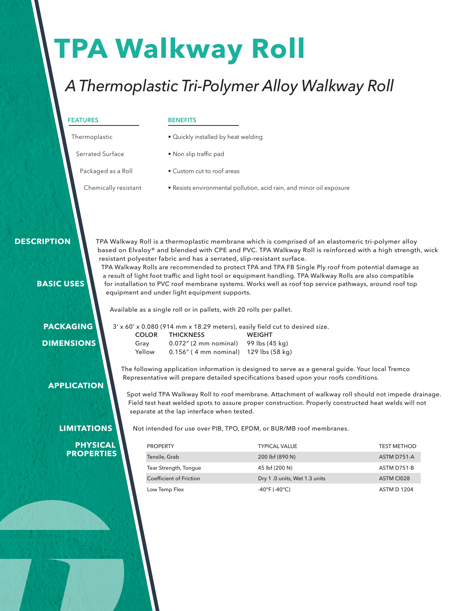# **TPA Walkway Roll**

## *A Thermoplastic Tri-Polymer Alloy Walkway Roll*

#### **FEATURES**

#### **BENEFITS**

- Thermoplastic
- Quickly installed by heat welding
- Serrated Surface
- Packaged as a Roll
- Non slip traffic pad
- Custom cut to roof areas
- Chemically resistant • Resists environmental pollution, acid rain, and minor oil exposure

#### **DESCRIPTION**

TPA Walkway Roll is a thermoplastic membrane which is comprised of an elastomeric tri-polymer alloy based on Elvaloy® and blended with CPE and PVC. TPA Walkway Roll is reinforced with a high strength, wick resistant polyester fabric and has a serrated, slip-resistant surface.

TPA Walkway Rolls are recommended to protect TPA and TPA FB Single Ply roof from potential damage as a result of light foot traffic and light tool or equipment handling. TPA Walkway Rolls are also compatible for installation to PVC roof membrane systems. Works well as roof top service pathways, around roof top equipment and under light equipment supports.

Available as a single roll or in pallets, with 20 rolls per pallet.

 **PACKAGING DIMENSIONS**

 **APPLICATION**

 **BASIC USES**

| 3' x 60' x 0.080 (914 mm x 18.29 meters), easily field cut to desired size. |                                          |               |  |
|-----------------------------------------------------------------------------|------------------------------------------|---------------|--|
| <b>COLOR</b>                                                                | <b>THICKNESS</b>                         | <b>WEIGHT</b> |  |
| Grav                                                                        | $0.072$ " (2 mm nominal) 99 lbs (45 kg)  |               |  |
| Yellow                                                                      | $0.156''$ (4 mm nominal) 129 lbs (58 kg) |               |  |

The following application information is designed to serve as a general guide. Your local Tremco Representative will prepare detailed specifications based upon your roofs conditions.

Spot weld TPA Walkway Roll to roof membrane. Attachment of walkway roll should not impede drainage. Field test heat welded spots to assure proper construction. Properly constructed heat welds will not separate at the lap interface when tested.

**LIMITATIONS**

 **PHYSICAL PROPERTIES** Not intended for use over PIB, TPO, EPDM, or BUR/MB roof membranes.

| <b>PROPERTY</b>                | <b>TYPICAL VALUE</b>               | <b>TEST METHOD</b> |
|--------------------------------|------------------------------------|--------------------|
| Tensile, Grab                  | 200 lbf (890 N)                    | ASTM D751-A        |
| Tear Strength, Tongue          | 45 lbf (200 N)                     | ASTM D751-B        |
| <b>Coefficient of Friction</b> | Dry 1.0 units, Wet 1.3 units       | ASTM CI028         |
| Low Temp Flex                  | $-40^{\circ}$ F ( $-40^{\circ}$ C) | <b>ASTM D 1204</b> |